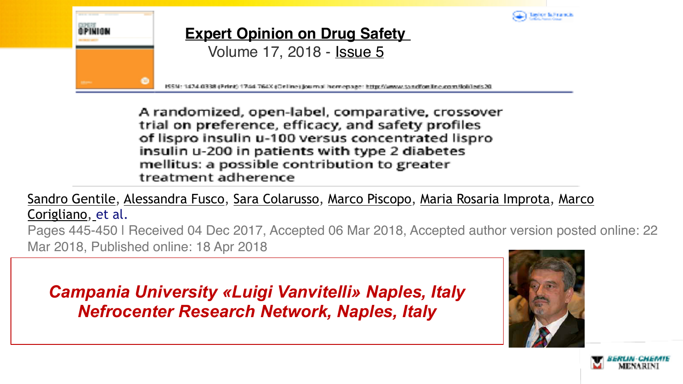

A randomized, open-label, comparative, crossover trial on preference, efficacy, and safety profiles of lispro insulin u-100 versus concentrated lispro insulin u-200 in patients with type 2 diabetes mellitus: a possible contribution to greater treatment adherence

[Sandro Gentile,](https://www.tandfonline.com/author/Gentile,+Sandro) [Alessandra Fusco,](https://www.tandfonline.com/author/Fusco,+Alessandra) [Sara Colarusso](https://www.tandfonline.com/author/Colarusso,+Sara), [Marco Piscopo,](https://www.tandfonline.com/author/Piscopo,+Marco) [Maria Rosaria Improta,](https://www.tandfonline.com/author/Improta,+Maria+Rosaria) [Marco](https://www.tandfonline.com/author/Corigliano,+Marco)  [Corigliano](https://www.tandfonline.com/author/Corigliano,+Marco)[,](https://www.tandfonline.com/doi/full/10.1080/14740338.2018.1453495) et al.

Pages 445-450 | Received 04 Dec 2017, Accepted 06 Mar 2018, Accepted author version posted online: 22 Mar 2018, Published online: 18 Apr 2018

*Campania University «Luigi Vanvitelli» Naples, Italy Nefrocenter Research Network, Naples, Italy* 



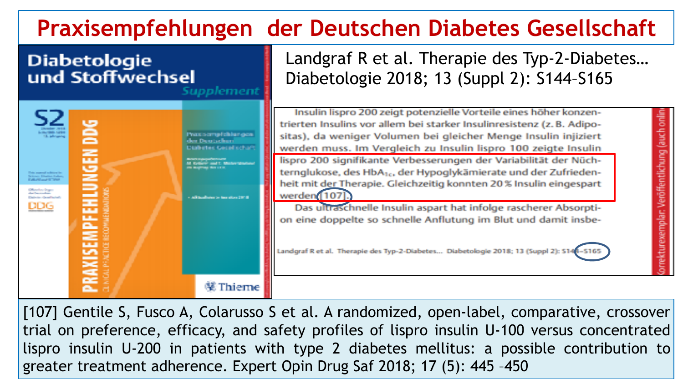## **Praxisempfehlungen der Deutschen Diabetes Gesellschaft**

#### **Diabetologie** und Stoffwechsel Supplement



Landgraf R et al. Therapie des Typ-2-Diabetes… Diabetologie 2018; 13 (Suppl 2): S144–S165

Insulin lispro 200 zeigt potenzielle Vorteile eines höher konzentrierten Insulins vor allem bei starker Insulinresistenz (z. B. Adipositas), da weniger Volumen bei gleicher Menge Insulin injiziert werden muss. Im Vergleich zu Insulin lispro 100 zeigte Insulin lispro 200 signifikante Verbesserungen der Variabilität der Nüchternglukose, des HbA<sub>1c</sub>, der Hypoglykämierate und der Zufriedenheit mit der Therapie. Gleichzeitig konnten 20 % Insulin eingespart werden [107]. Das ultraschnelle Insulin aspart hat infolge rascherer Absorption eine doppelte so schnelle Anflutung im Blut und damit insbe-

orrekturexemplar: Veröffentlichung (auch onlin

Landgraf R et al. Therapie des Typ-2-Diabetes... Diabetologie 2018; 13 (Suppl 2): S14

[107] Gentile S, Fusco A, Colarusso S et al. A randomized, open-label, comparative, crossover trial on preference, efficacy, and safety profiles of lispro insulin U-100 versus concentrated lispro insulin U-200 in patients with type 2 diabetes mellitus: a possible contribution to greater treatment adherence. Expert Opin Drug Saf 2018; 17 (5): 445 –450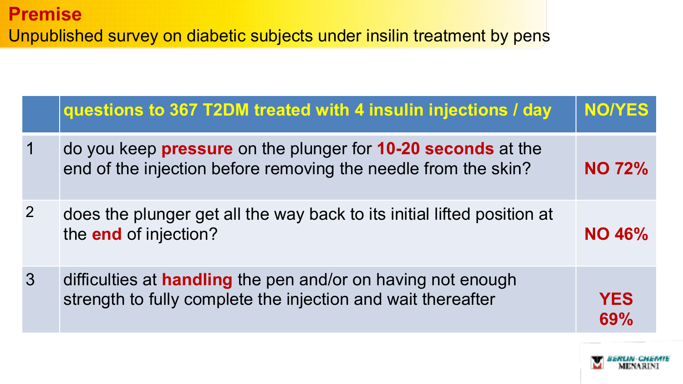|                | questions to 367 T2DM treated with 4 insulin injections / day                                                                         | <b>NO/YES</b>     |
|----------------|---------------------------------------------------------------------------------------------------------------------------------------|-------------------|
|                | do you keep <b>pressure</b> on the plunger for 10-20 seconds at the<br>end of the injection before removing the needle from the skin? | <b>NO 72%</b>     |
| $\overline{2}$ | does the plunger get all the way back to its initial lifted position at<br>the end of injection?                                      | <b>NO 46%</b>     |
| $\overline{3}$ | difficulties at <b>handling</b> the pen and/or on having not enough<br>strength to fully complete the injection and wait thereafter   | <b>YES</b><br>69% |

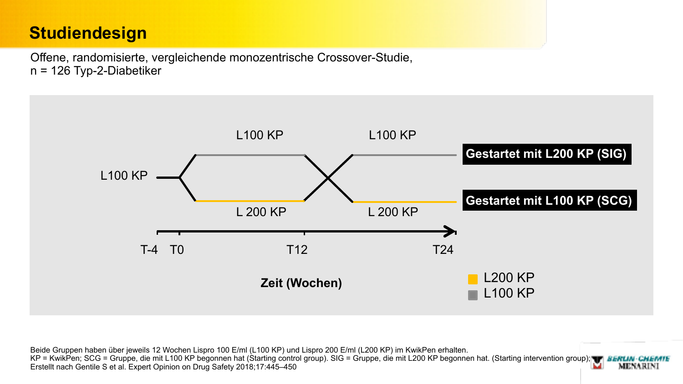## **Studiendesign**

Offene, randomisierte, vergleichende monozentrische Crossover-Studie, n = 126 Typ-2-Diabetiker



Beide Gruppen haben über jeweils 12 Wochen Lispro 100 E/ml (L100 KP) und Lispro 200 E/ml (L200 KP) im KwikPen erhalten. KP = KwikPen; SCG = Gruppe, die mit L100 KP begonnen hat (Starting control group). SIG = Gruppe, die mit L200 KP begonnen hat. (Starting intervention group); TF BERLIN-CHEMTE Erstellt nach Gentile S et al. Expert Opinion on Drug Safety 2018;17:445–450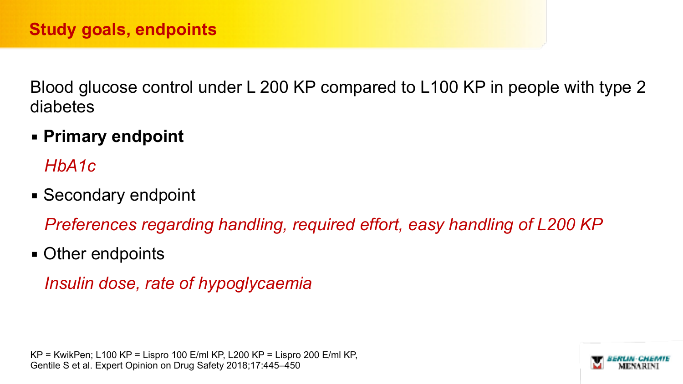Blood glucose control under L 200 KP compared to L100 KP in people with type 2 diabetes

▪ **Primary endpoint** 

*HbA1c* 

■ Secondary endpoint

*Preferences regarding handling, required effort, easy handling of L200 KP*

• Other endpoints

*Insulin dose, rate of hypoglycaemia*

KP = KwikPen; L100 KP = Lispro 100 E/ml KP, L200 KP = Lispro 200 E/ml KP, Gentile S et al. Expert Opinion on Drug Safety 2018;17:445–450

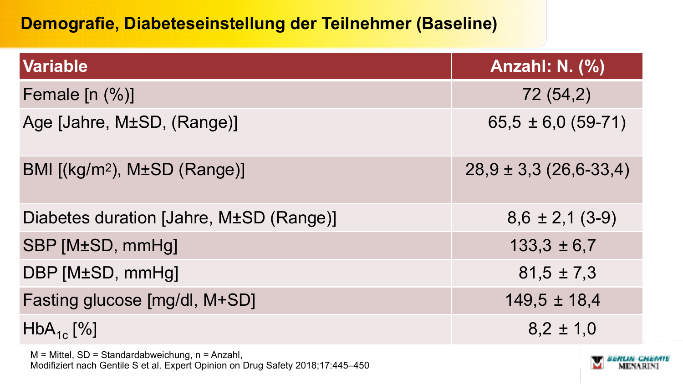## **Demografie, Diabeteseinstellung der Teilnehmer (Baseline)**

| <b>Variable</b>                          | <b>Anzahl: N. (%)</b>      |
|------------------------------------------|----------------------------|
| Female $[n (%)]$                         | 72 (54,2)                  |
| Age [Jahre, M±SD, (Range)]               | $65,5 \pm 6,0(59-71)$      |
| BMI [(kg/m <sup>2</sup> ), M±SD (Range)] | $28,9 \pm 3,3$ (26,6-33,4) |
| Diabetes duration [Jahre, M±SD (Range)]  | $8,6 \pm 2,1$ (3-9)        |
| SBP [M±SD, mmHg]                         | $133,3 \pm 6,7$            |
| DBP [M±SD, mmHg]                         | $81.5 \pm 7.3$             |
| Fasting glucose [mg/dl, M+SD]            | $149.5 \pm 18.4$           |
| $HbA_{1c}$ [%]                           | $8,2 \pm 1,0$              |
|                                          |                            |

M = Mittel, SD = Standardabweichung, n = Anzahl, Modifiziert nach Gentile S et al. Expert Opinion on Drug Safety 2018;17:445–450

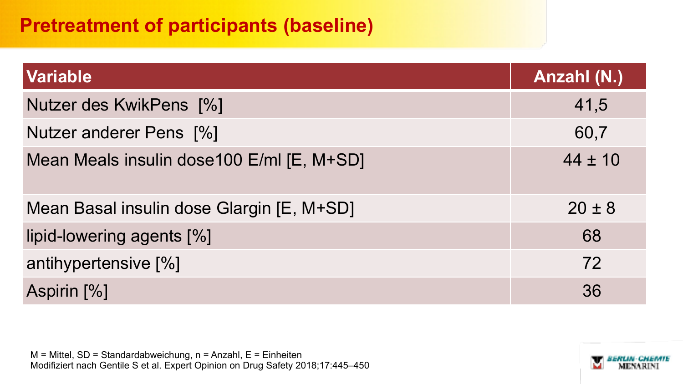## **Pretreatment of participants (baseline)**

| <b>Variable</b>                           | Anzahl (N.) |  |
|-------------------------------------------|-------------|--|
| Nutzer des KwikPens [%]                   | 41,5        |  |
| Nutzer anderer Pens [%]                   | 60,7        |  |
| Mean Meals insulin dose100 E/ml [E, M+SD] | $44 \pm 10$ |  |
| Mean Basal insulin dose Glargin [E, M+SD] | $20 \pm 8$  |  |
| lipid-lowering agents [%]                 | 68          |  |
| antihypertensive [%]                      | 72          |  |
| Aspirin [%]                               | 36          |  |

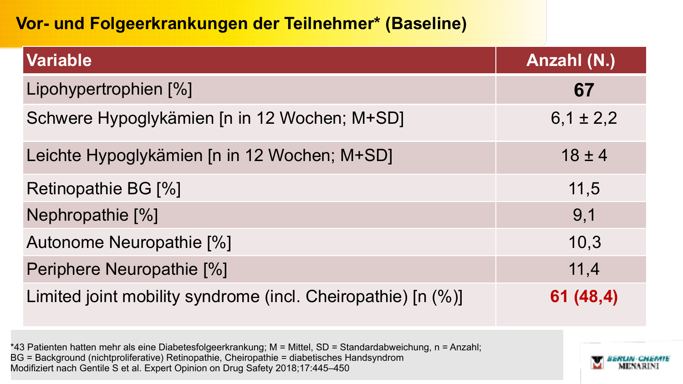## **Vor- und Folgeerkrankungen der Teilnehmer\* (Baseline)**

| Variable                                                     | Anzahl (N.)   |
|--------------------------------------------------------------|---------------|
| Lipohypertrophien [%]                                        | 67            |
| Schwere Hypoglykämien [n in 12 Wochen; M+SD]                 | $6,1 \pm 2,2$ |
| Leichte Hypoglykämien [n in 12 Wochen; M+SD]                 | $18 \pm 4$    |
| Retinopathie BG [%]                                          | 11,5          |
| Nephropathie [%]                                             | 9,1           |
| Autonome Neuropathie [%]                                     | 10,3          |
| Periphere Neuropathie [%]                                    | 11,4          |
| Limited joint mobility syndrome (incl. Cheiropathie) [n (%)] | 61 (48,4)     |

\*43 Patienten hatten mehr als eine Diabetesfolgeerkrankung; M = Mittel, SD = Standardabweichung, n = Anzahl; BG = Background (nichtproliferative) Retinopathie, Cheiropathie = diabetisches Handsyndrom Modifiziert nach Gentile S et al. Expert Opinion on Drug Safety 2018;17:445–450

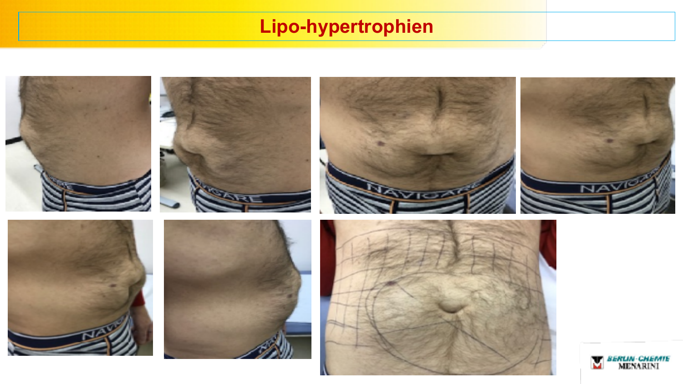## **Lipo-hypertrophien**

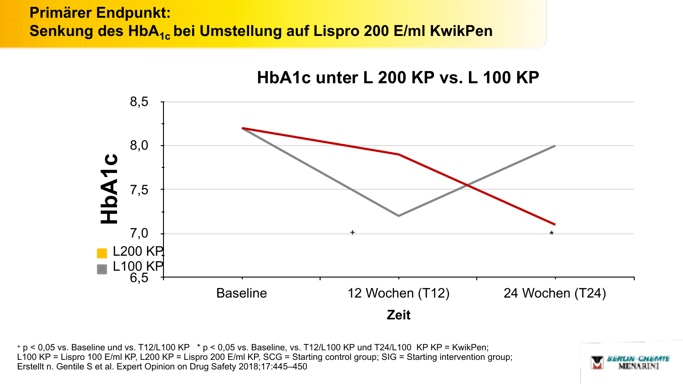#### **Primärer Endpunkt: Senkung des HbA<sub>1c</sub> bei Umstellung auf Lispro 200 E/ml KwikPen**



+ p < 0,05 vs. Baseline und vs. T12/L100 KP \* p < 0,05 vs. Baseline, vs. T12/L100 KP und T24/L100 KP KP = KwikPen; L100 KP = Lispro 100 E/ml KP, L200 KP = Lispro 200 E/ml KP, SCG = Starting control group; SIG = Starting intervention group; Erstellt n. Gentile S et al. Expert Opinion on Drug Safety 2018;17:445–450

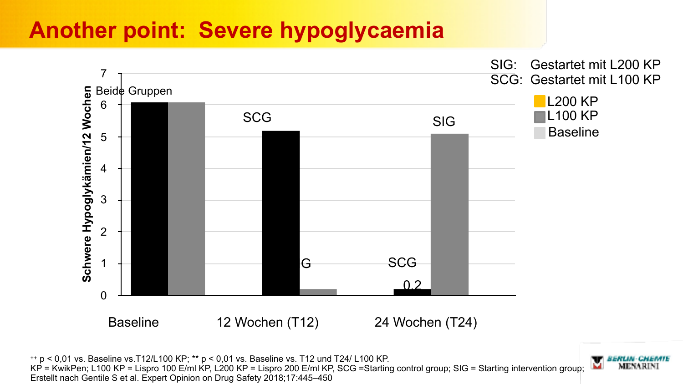## **Another point: Severe hypoglycaemia**



 $+p$  < 0,01 vs. Baseline vs. T12/L100 KP; \*\*  $p$  < 0,01 vs. Baseline vs. T12 und T24/ L100 KP. KP = KwikPen; L100 KP = Lispro 100 E/ml KP, L200 KP = Lispro 200 E/ml KP, SCG =Starting control group; SIG = Starting intervention group; Erstellt nach Gentile S et al. Expert Opinion on Drug Safety 2018;17:445–450

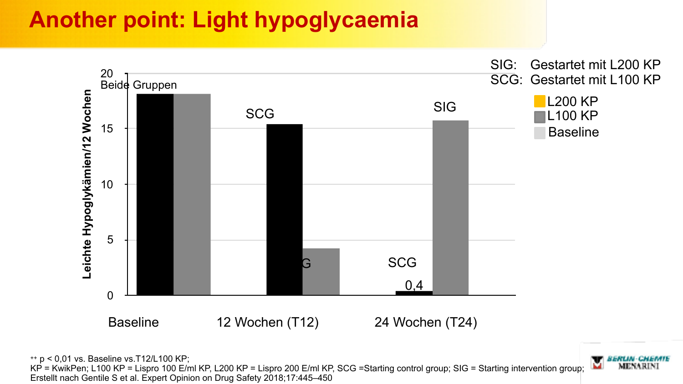## **Another point: Light hypoglycaemia**



MENARIN

++ p < 0,01 vs. Baseline vs.T12/L100 KP;

KP = KwikPen; L100 KP = Lispro 100 E/ml KP, L200 KP = Lispro 200 E/ml KP, SCG =Starting control group; SIG = Starting intervention group; Erstellt nach Gentile S et al. Expert Opinion on Drug Safety 2018;17:445–450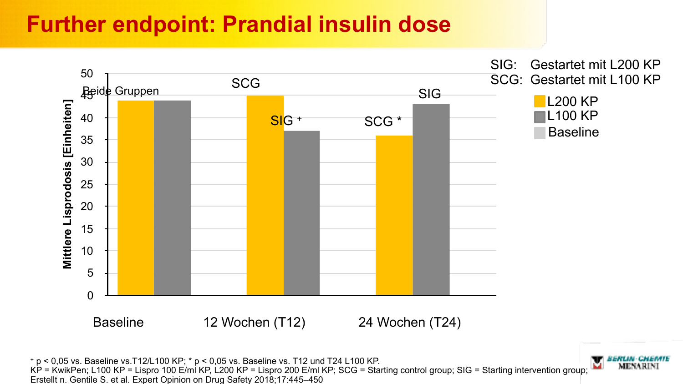## **Further endpoint: Prandial insulin dose**



MENARIN

+ p < 0,05 vs. Baseline vs.T12/L100 KP; \* p < 0,05 vs. Baseline vs. T12 und T24 L100 KP. KP = KwikPen; L100 KP = Lispro 100 E/ml KP, L200 KP = Lispro 200 E/ml KP; SCG = Starting control group; SIG = Starting intervention group; Erstellt n. Gentile S. et al. Expert Opinion on Drug Safety 2018;17:445–450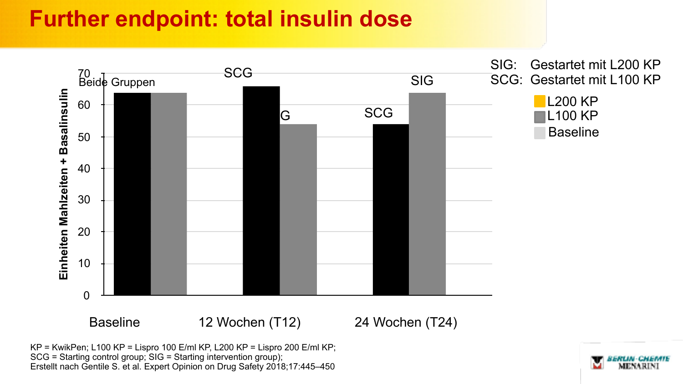## **Further endpoint: total insulin dose**



KP = KwikPen; L100 KP = Lispro 100 E/ml KP, L200 KP = Lispro 200 E/ml KP; SCG = Starting control group; SIG = Starting intervention group); Erstellt nach Gentile S. et al. Expert Opinion on Drug Safety 2018;17:445–450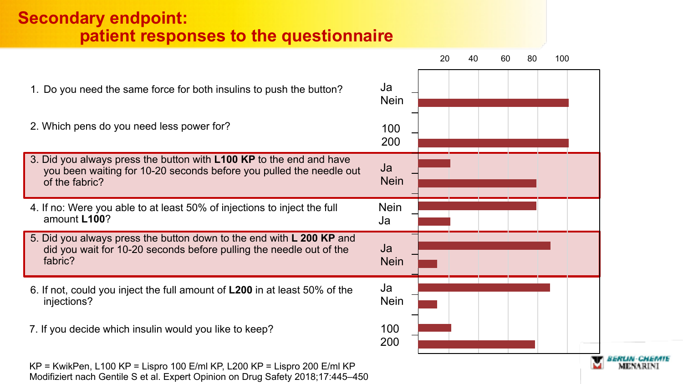#### **Secondary endpoint: patient responses to the questionnaire**

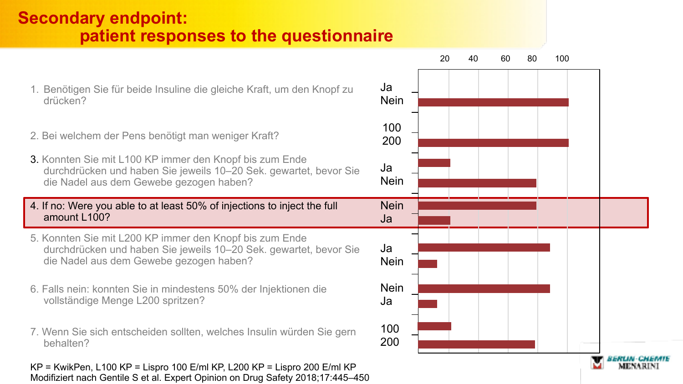### **Secondary endpoint: patient responses to the questionnaire**

- 1. Benötigen Sie für beide Insuline die gleiche Kraft, um den Knopf zu drücken?
- 2. Bei welchem der Pens benötigt man weniger Kraft?
- 3. Konnten Sie mit L100 KP immer den Knopf bis zum Ende durchdrücken und haben Sie jeweils 10–20 Sek. gewartet, bevor Sie die Nadel aus dem Gewebe gezogen haben?
- 4. If no: Were you able to at least 50% of injections to inject the full amount L100?
- 5. Konnten Sie mit L200 KP immer den Knopf bis zum Ende durchdrücken und haben Sie jeweils 10–20 Sek. gewartet, bevor Sie die Nadel aus dem Gewebe gezogen haben?
- 6. Falls nein: konnten Sie in mindestens 50% der Injektionen die vollständige Menge L200 spritzen?
- 7. Wenn Sie sich entscheiden sollten, welches Insulin würden Sie gern behalten?

KP = KwikPen, L100 KP = Lispro 100 E/ml KP, L200 KP = Lispro 200 E/ml KP Modifiziert nach Gentile S et al. Expert Opinion on Drug Safety 2018;17:445–450

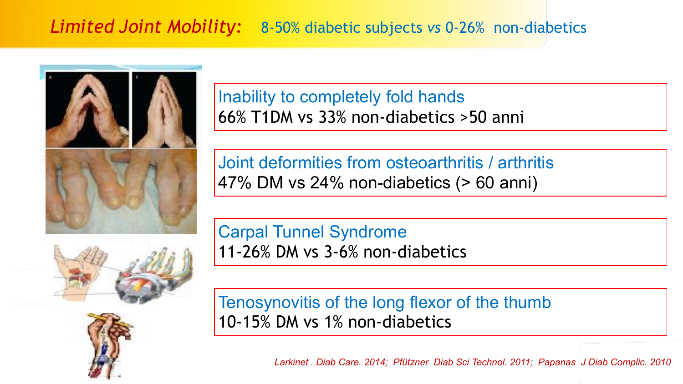## *Limited Joint Mobility:* 8-50% diabetic subjects *vs* 0-26% non-diabetics





Inability to completely fold hands 66% T1DM vs 33% non-diabetics >50 anni

Joint deformities from osteoarthritis / arthritis 47% DM vs 24% non-diabetics (> 60 anni)

Carpal Tunnel Syndrome 11-26% DM vs 3-6% non-diabetics

Tenosynovitis of the long flexor of the thumb 10-15% DM vs 1% non-diabetics

*Larkinet . Diab Care. 2014; Pfützner Diab Sci Technol. 2011; Papanas J Diab Complic. 2010*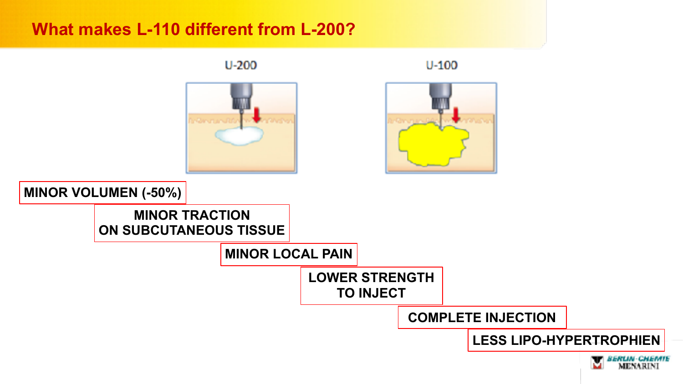#### **What makes L-110 different from L-200?**

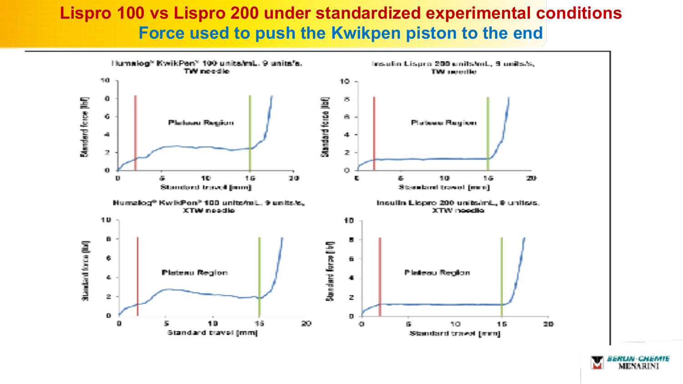#### **Lispro 100 vs Lispro 200 under standardized experimental conditions Force used to push the Kwikpen piston to the end**



ERLIN-CHEMIE MENARINI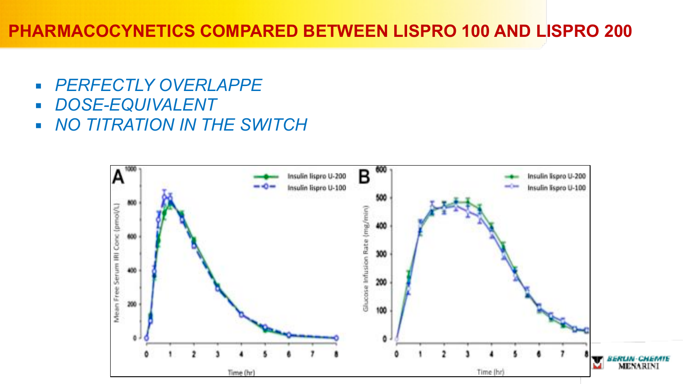### **PHARMACOCYNETICS COMPARED BETWEEN LISPRO 100 AND LISPRO 200**

- *PERFECTLY OVERLAPPE*
- *DOSE-EQUIVALENT*
- *NO TITRATION IN THE SWITCH*

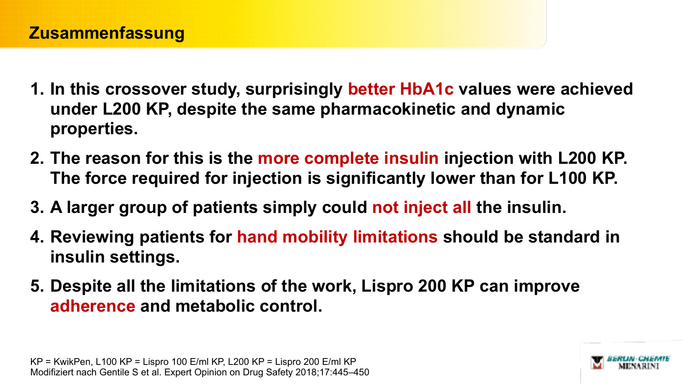- **1. In this crossover study, surprisingly better HbA1c values were achieved under L200 KP, despite the same pharmacokinetic and dynamic properties.**
- **2. The reason for this is the more complete insulin injection with L200 KP. The force required for injection is significantly lower than for L100 KP.**
- **3. A larger group of patients simply could not inject all the insulin.**
- **4. Reviewing patients for hand mobility limitations should be standard in insulin settings.**
- **5. Despite all the limitations of the work, Lispro 200 KP can improve adherence and metabolic control.**

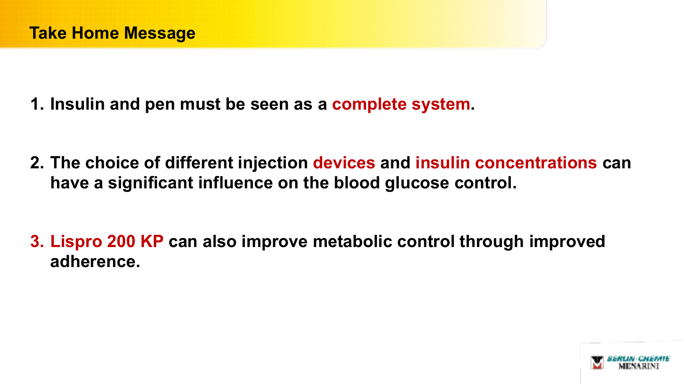- **1. Insulin and pen must be seen as a complete system.**
- **2. The choice of different injection devices and insulin concentrations can have a significant influence on the blood glucose control.**
- **3. Lispro 200 KP can also improve metabolic control through improved adherence.**

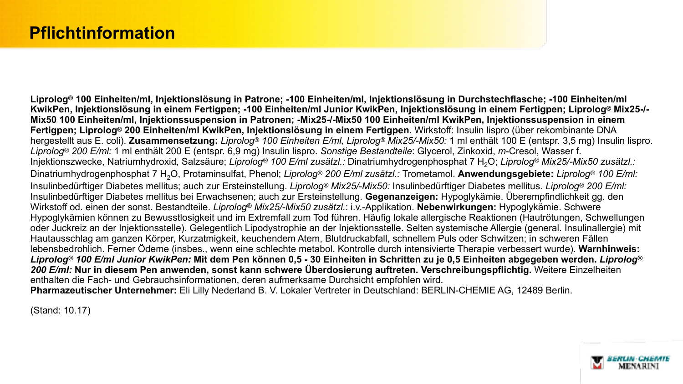**Liprolog® 100 Einheiten/ml, Injektionslösung in Patrone; -100 Einheiten/ml, Injektionslösung in Durchstechflasche; -100 Einheiten/ml KwikPen, Injektionslösung in einem Fertigpen; -100 Einheiten/ml Junior KwikPen, Injektionslösung in einem Fertigpen; Liprolog® Mix25-/- Mix50 100 Einheiten/ml, Injektionssuspension in Patronen; -Mix25-/-Mix50 100 Einheiten/ml KwikPen, Injektionssuspension in einem Fertigpen; Liprolog® 200 Einheiten/ml KwikPen, Injektionslösung in einem Fertigpen.** Wirkstoff: Insulin lispro (über rekombinante DNA hergestellt aus E. coli). **Zusammensetzung:** *Liprolog® 100 Einheiten E/ml, Liprolog® Mix25/-Mix50:* 1 ml enthält 100 E (entspr. 3,5 mg) Insulin lispro. *Liprolog® 200 E/ml:* 1 ml enthält 200 E (entspr. 6,9 mg) Insulin lispro. *Sonstige Bestandteile*: Glycerol, Zinkoxid, *m*-Cresol, Wasser f. Injektionszwecke, Natriumhydroxid, Salzsäure; *Liprolog<sup>®</sup> 100 E/ml zusätzl.:* Dinatriumhydrogenphosphat 7 H<sub>2</sub>O; Liprolog<sup>®</sup> Mix25/-Mix50 zusätzl.: Dinatriumhydrogenphosphat 7 H2O, Protaminsulfat, Phenol; *Liprolog® 200 E/ml zusätzl.:* Trometamol. **Anwendungsgebiete:** *Liprolog® 100 E/ml:*  Insulinbedürftiger Diabetes mellitus; auch zur Ersteinstellung. *Liprolog® Mix25/-Mix50:* Insulinbedürftiger Diabetes mellitus. *Liprolog® 200 E/ml:*  Insulinbedürftiger Diabetes mellitus bei Erwachsenen; auch zur Ersteinstellung. **Gegenanzeigen:** Hypoglykämie. Überempfindlichkeit gg. den Wirkstoff od. einen der sonst. Bestandteile. *Liprolog® Mix25/-Mix50 zusätzl.*: i.v.-Applikation. **Nebenwirkungen:** Hypoglykämie. Schwere Hypoglykämien können zu Bewusstlosigkeit und im Extremfall zum Tod führen. Häufig lokale allergische Reaktionen (Hautrötungen, Schwellungen oder Juckreiz an der Injektionsstelle). Gelegentlich Lipodystrophie an der Injektionsstelle. Selten systemische Allergie (general. Insulinallergie) mit Hautausschlag am ganzen Körper, Kurzatmigkeit, keuchendem Atem, Blutdruckabfall, schnellem Puls oder Schwitzen; in schweren Fällen lebensbedrohlich. Ferner Ödeme (insbes., wenn eine schlechte metabol. Kontrolle durch intensivierte Therapie verbessert wurde). **Warnhinweis:**  *Liprolog® 100 E/ml Junior KwikPen:* **Mit dem Pen können 0,5 - 30 Einheiten in Schritten zu je 0,5 Einheiten abgegeben werden.** *Liprolog® 200 E/ml:* **Nur in diesem Pen anwenden, sonst kann schwere Überdosierung auftreten. Verschreibungspflichtig.** Weitere Einzelheiten enthalten die Fach- und Gebrauchsinformationen, deren aufmerksame Durchsicht empfohlen wird. **Pharmazeutischer Unternehmer:** Eli Lilly Nederland B. V. Lokaler Vertreter in Deutschland: BERLIN-CHEMIE AG, 12489 Berlin.

(Stand: 10.17)